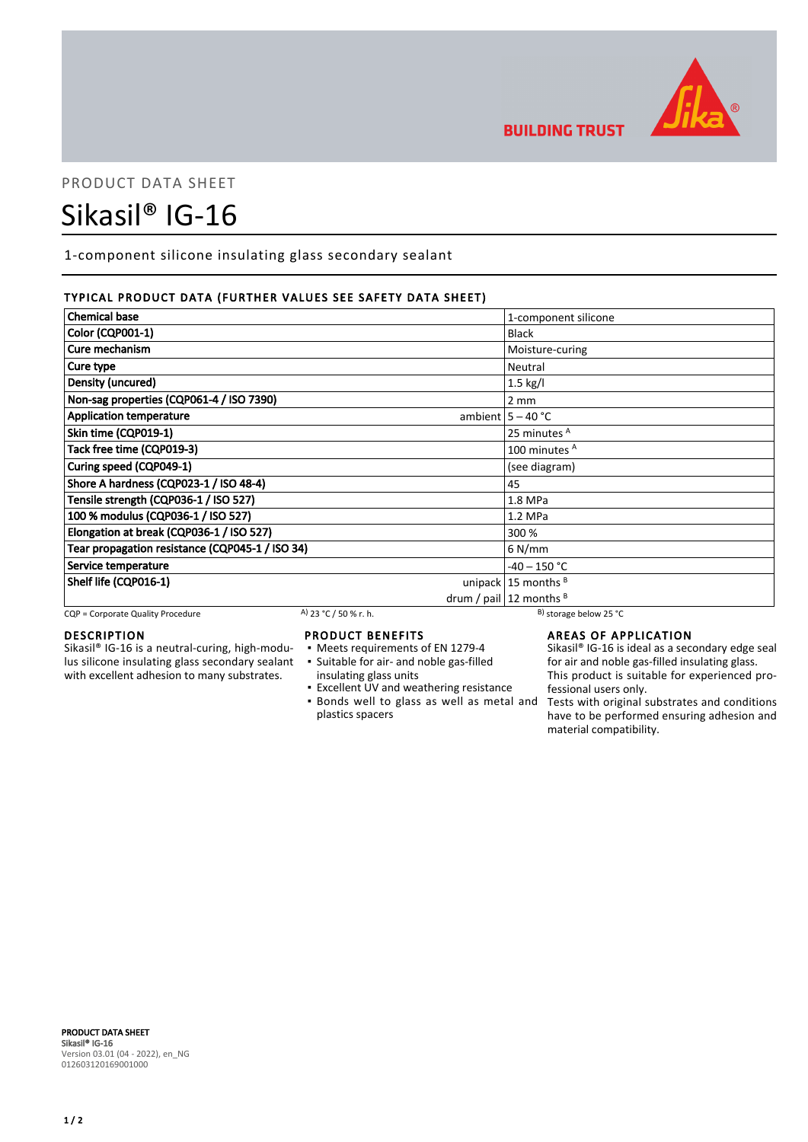

# PRODUCT DATA SHEET

# Sikasil® IG-16

1-component silicone insulating glass secondary sealant

# TYPICAL PRODUCT DATA (FURTHER VALUES SEE SAFETY DATA SHEET)

| <b>Chemical base</b>                            | 1-component silicone           |
|-------------------------------------------------|--------------------------------|
| Color (CQP001-1)                                | <b>Black</b>                   |
| Cure mechanism                                  | Moisture-curing                |
| Cure type                                       | Neutral                        |
| Density (uncured)                               | $1.5$ kg/l                     |
| Non-sag properties (CQP061-4 / ISO 7390)        | $2 \, \text{mm}$               |
| <b>Application temperature</b>                  | ambient $5 - 40$ °C            |
| Skin time (CQP019-1)                            | 25 minutes <sup>A</sup>        |
| Tack free time (CQP019-3)                       | 100 minutes <sup>A</sup>       |
| Curing speed (CQP049-1)                         | (see diagram)                  |
| Shore A hardness (CQP023-1 / ISO 48-4)          | 45                             |
| Tensile strength (CQP036-1 / ISO 527)           | 1.8 MPa                        |
| 100 % modulus (CQP036-1 / ISO 527)              | $1.2$ MPa                      |
| Elongation at break (CQP036-1 / ISO 527)        | 300 %                          |
| Tear propagation resistance (CQP045-1 / ISO 34) | $6$ N/mm                       |
| Service temperature                             | $-40 - 150$ °C                 |
| Shelf life (CQP016-1)                           | unipack $15$ months $^B$       |
|                                                 | drum / pail $ 12$ months $ B $ |

CQP = Corporate Quality Procedure A) 23 °C / 50 % r. h. B) storage below 25 °C

# DESCRIPTION

Sikasil® IG-16 is a neutral-curing, high-modulus silicone insulating glass secondary sealant with excellent adhesion to many substrates.

# PRODUCT BENEFITS

- Meets requirements of EN 1279-4
- Suitable for air- and noble gas-filled ▪
- insulating glass units
- Excellent UV and weathering resistance **.** Bonds well to glass as well as metal and
- plastics spacers

AREAS OF APPLICATION

**BUILDING TRUST** 

Sikasil<sup>®</sup> IG-16 is ideal as a secondary edge seal for air and noble gas-filled insulating glass. This product is suitable for experienced professional users only.

Tests with original substrates and conditions have to be performed ensuring adhesion and material compatibility.